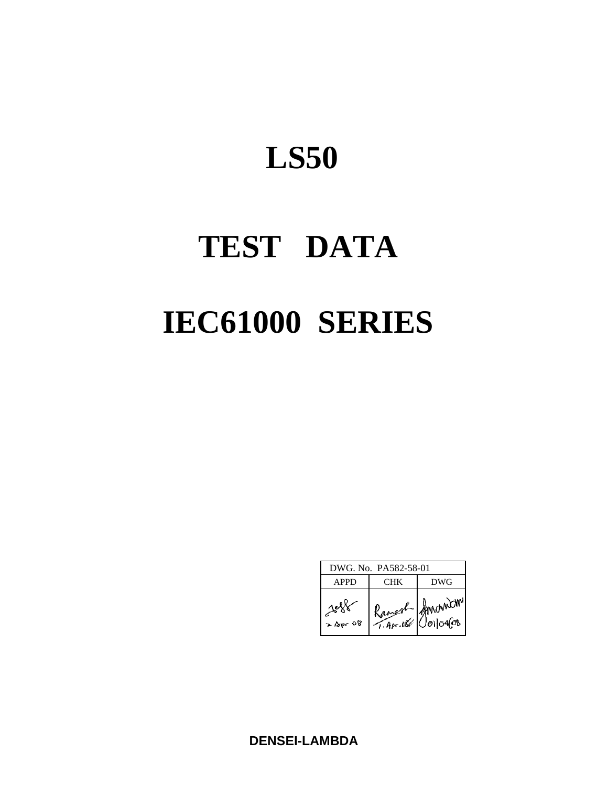# **TEST DATA IEC61000 SERIES**

| DWG. No. PA582-58-01 |                         |                           |  |  |  |  |  |
|----------------------|-------------------------|---------------------------|--|--|--|--|--|
| <b>APPD</b>          | CHK)                    | <b>DWG</b>                |  |  |  |  |  |
| 24<br>$>$ Bpr 08     | Kanesh-<br>$7.4$ pr.066 | Amonich<br>$0$ 0104 $0$ 8 |  |  |  |  |  |

**DENSEI-LAMBDA**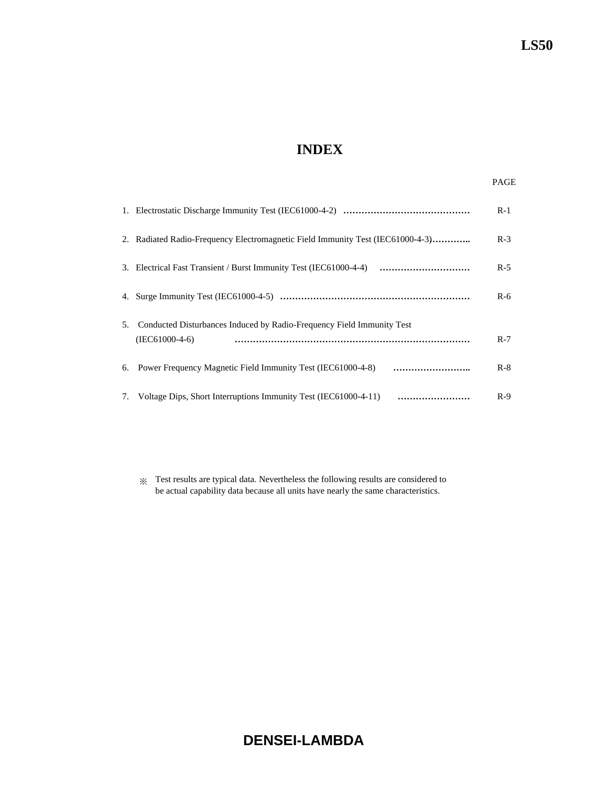# **INDEX**

|    |                                                                                           | $R-1$ |
|----|-------------------------------------------------------------------------------------------|-------|
|    | 2. Radiated Radio-Frequency Electromagnetic Field Immunity Test (IEC61000-4-3)            | $R-3$ |
|    |                                                                                           | $R-5$ |
|    |                                                                                           | $R-6$ |
| 5. | Conducted Disturbances Induced by Radio-Frequency Field Immunity Test<br>$(IEC61000-4-6)$ | $R-7$ |
|    |                                                                                           | $R-8$ |
|    | 7. Voltage Dips, Short Interruptions Immunity Test (IEC61000-4-11)                        | $R-9$ |

※ Test results are typical data. Nevertheless the following results are considered to be actual capability data because all units have nearly the same characteristics.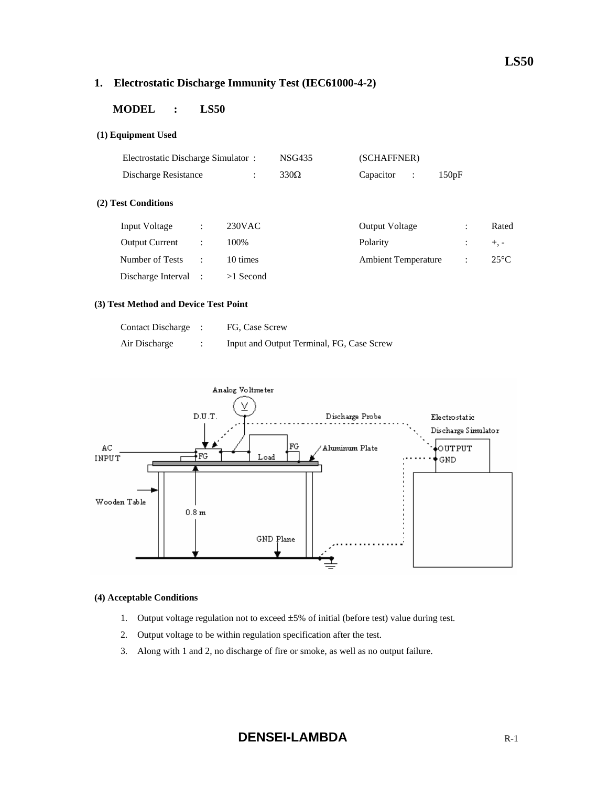# **1. Electrostatic Discharge Immunity Test (IEC61000-4-2)**

# **MODEL : LS50**

#### **(1) Equipment Used**

| Electrostatic Discharge Simulator: |                      |                      | <b>NSG435</b> | (SCHAFFNER)                       |       |                |
|------------------------------------|----------------------|----------------------|---------------|-----------------------------------|-------|----------------|
| Discharge Resistance               |                      | $\ddot{\phantom{a}}$ | $330\Omega$   | Capacitor<br>$\ddot{\phantom{a}}$ | 150pF |                |
| (2) Test Conditions                |                      |                      |               |                                   |       |                |
| Input Voltage                      | ÷                    | $230$ VAC            |               | <b>Output Voltage</b>             | ÷     | Rated          |
| <b>Output Current</b>              | ÷                    | 100%                 |               | Polarity                          |       | $+$ , -        |
| Number of Tests                    | $\ddot{\phantom{a}}$ | 10 times             |               | <b>Ambient Temperature</b>        | ٠     | $25^{\circ}$ C |
| Discharge Interval                 |                      | $>1$ Second          |               |                                   |       |                |

#### **(3) Test Method and Device Test Point**

| <b>Contact Discharge</b> | FG, Case Screw                            |
|--------------------------|-------------------------------------------|
| Air Discharge            | Input and Output Terminal, FG, Case Screw |



#### **(4) Acceptable Conditions**

- 1. Output voltage regulation not to exceed  $\pm 5\%$  of initial (before test) value during test.
- 2. Output voltage to be within regulation specification after the test.
- 3. Along with 1 and 2, no discharge of fire or smoke, as well as no output failure.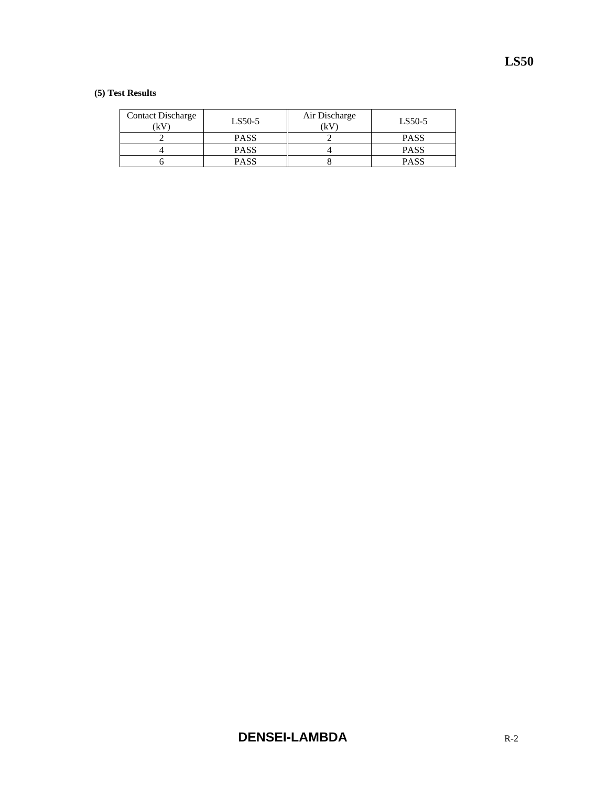#### **(5) Test Results**

| <b>Contact Discharge</b><br>(kV | LS50-5      | Air Discharge<br>(kV | LS50-5      |
|---------------------------------|-------------|----------------------|-------------|
|                                 | <b>PASS</b> |                      | <b>PASS</b> |
|                                 | <b>PASS</b> |                      | <b>PASS</b> |
|                                 | <b>PASS</b> |                      | <b>PASS</b> |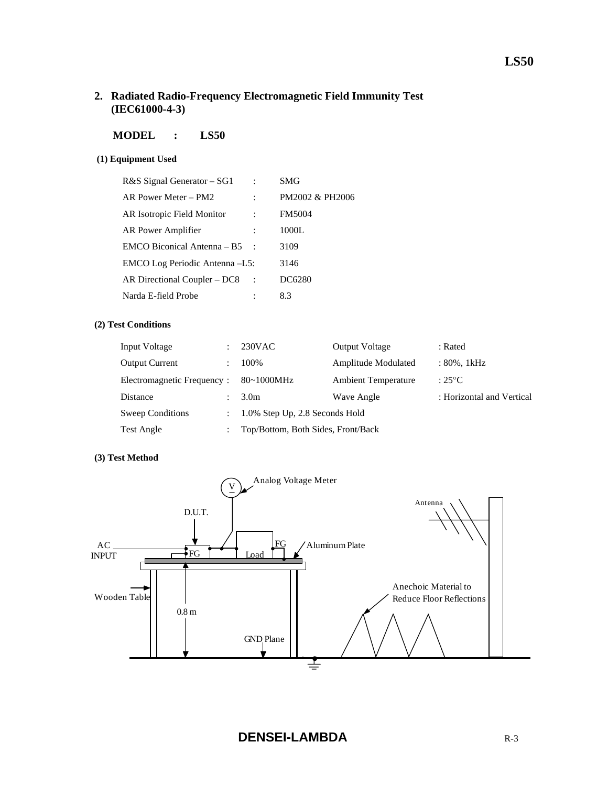# **2. Radiated Radio-Frequency Electromagnetic Field Immunity Test (IEC61000-4-3)**

## **MODEL : LS50**

#### **(1) Equipment Used**

| R&S Signal Generator – SG1     | SMG             |
|--------------------------------|-----------------|
| AR Power Meter – PM2           | PM2002 & PH2006 |
| AR Isotropic Field Monitor     | <b>FM5004</b>   |
| AR Power Amplifier             | 1000L           |
| EMCO Biconical Antenna – B5    | 3109            |
| EMCO Log Periodic Antenna -L5: | 3146            |
| AR Directional Coupler – DC8   | DC6280          |
| Narda E-field Probe            | 8.3             |

#### **(2) Test Conditions**

| Input Voltage              | $230$ VAC                          | <b>Output Voltage</b>      | : Rated                   |
|----------------------------|------------------------------------|----------------------------|---------------------------|
| <b>Output Current</b>      | 100%                               | Amplitude Modulated        | : 80%, 1kHz               |
| Electromagnetic Frequency: | $80\text{-}1000$ MHz               | <b>Ambient Temperature</b> | : $25^{\circ}$ C          |
| Distance                   | 3.0 <sub>m</sub>                   | Wave Angle                 | : Horizontal and Vertical |
| Sweep Conditions           | 1.0% Step Up, 2.8 Seconds Hold     |                            |                           |
| Test Angle                 | Top/Bottom, Both Sides, Front/Back |                            |                           |

#### **(3) Test Method**

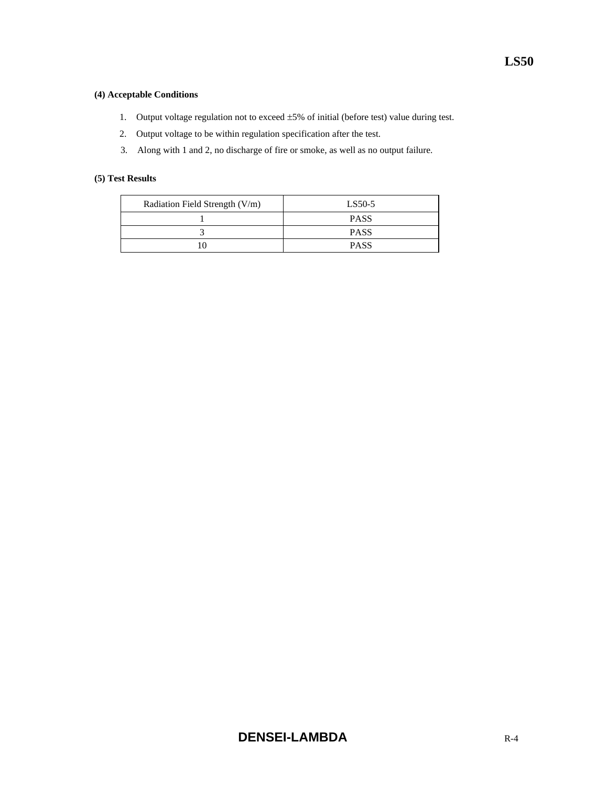#### **(4) Acceptable Conditions**

- 1. Output voltage regulation not to exceed ±5% of initial (before test) value during test.
- 2. Output voltage to be within regulation specification after the test.
- 3. Along with 1 and 2, no discharge of fire or smoke, as well as no output failure.

#### **(5) Test Results**

| Radiation Field Strength (V/m) | LS50-5      |
|--------------------------------|-------------|
|                                | <b>PASS</b> |
|                                | <b>PASS</b> |
|                                | <b>PASS</b> |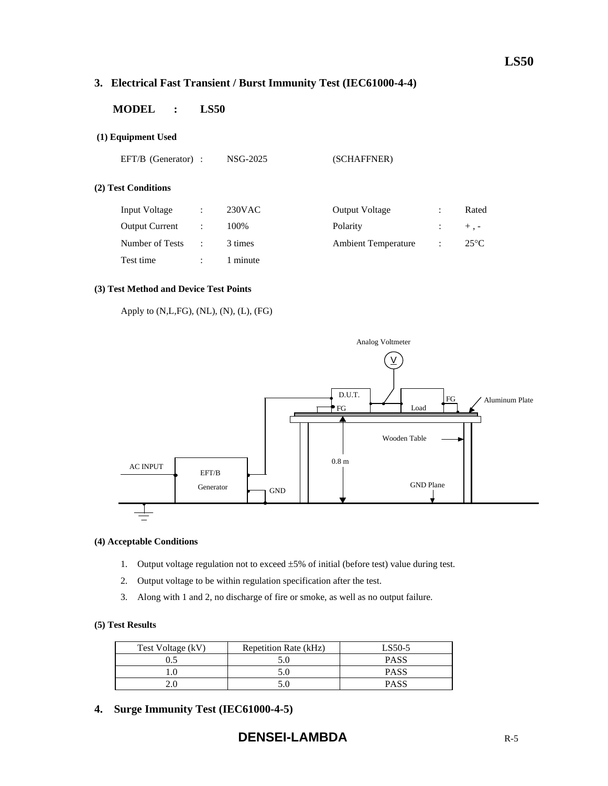# **3. Electrical Fast Transient / Burst Immunity Test (IEC61000-4-4)**

# **MODEL : LS50**

#### **(1) Equipment Used**

EFT/B (Generator) : NSG-2025 (SCHAFFNER)

#### **(2) Test Conditions**

| Input Voltage         | $230$ VAC | <b>Output Voltage</b>      | Rated         |
|-----------------------|-----------|----------------------------|---------------|
| <b>Output Current</b> | 100%      | Polarity                   | $+$ . -       |
| Number of Tests       | 3 times   | <b>Ambient Temperature</b> | $25^{\circ}C$ |
| Test time             | l minute  |                            |               |

#### **(3) Test Method and Device Test Points**

Apply to (N,L,FG), (NL), (N), (L), (FG)



#### **(4) Acceptable Conditions**

- 1. Output voltage regulation not to exceed ±5% of initial (before test) value during test.
- 2. Output voltage to be within regulation specification after the test.
- 3. Along with 1 and 2, no discharge of fire or smoke, as well as no output failure.

#### **(5) Test Results**

| Test Voltage (kV) | Repetition Rate (kHz) | LS50-5      |
|-------------------|-----------------------|-------------|
|                   |                       | <b>PASS</b> |
|                   |                       | <b>PASS</b> |
|                   |                       | <b>PASS</b> |

**4. Surge Immunity Test (IEC61000-4-5)**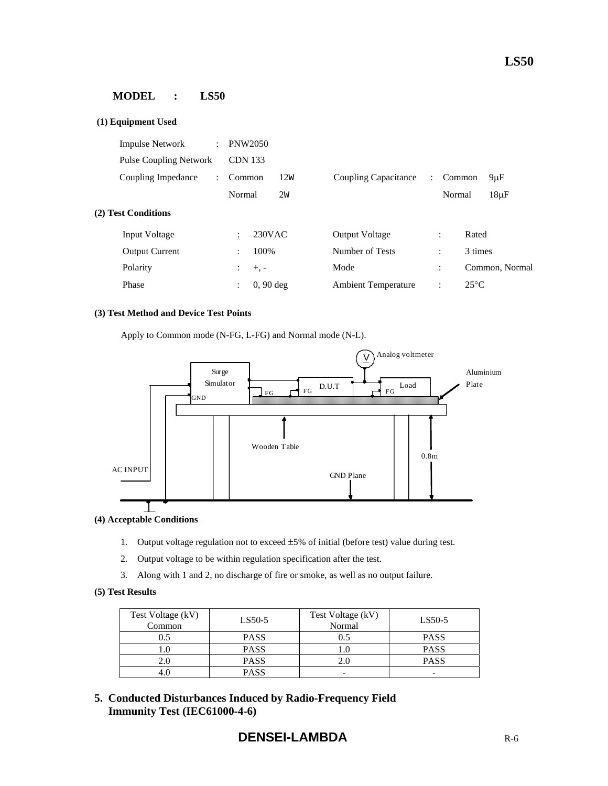#### **MODEL : LS50**

| (1) Equipment Used                              |                               |     |                            |               |                |                |
|-------------------------------------------------|-------------------------------|-----|----------------------------|---------------|----------------|----------------|
| <b>Impulse Network</b><br>$\mathcal{L}$         | <b>PNW2050</b>                |     |                            |               |                |                |
| <b>Pulse Coupling Network</b>                   | <b>CDN</b> 133                |     |                            |               |                |                |
| Coupling Impedance<br>$\mathbb{R}^{\mathbb{Z}}$ | Common                        | 12W | Coupling Capacitance       | $\mathcal{L}$ | Common         | $9 \mu F$      |
|                                                 | Normal                        | 2w  |                            |               | Normal         | $18\mu F$      |
| (2) Test Conditions                             |                               |     |                            |               |                |                |
| <b>Input Voltage</b>                            | $230$ VAC<br>÷                |     | <b>Output Voltage</b>      |               | ÷              | Rated          |
| <b>Output Current</b>                           | 100\%<br>$\ddot{\cdot}$       |     | Number of Tests            |               | $\ddot{\cdot}$ | 3 times        |
| Polarity                                        | $+$ , $-$<br>÷                |     | Mode                       |               | $\ddot{\cdot}$ | Common, Normal |
| Phase                                           | $0, 90$ deg<br>$\ddot{\cdot}$ |     | <b>Ambient Temperature</b> |               | $\ddot{\cdot}$ | $25^{\circ}$ C |

#### **(3) Test Method and Device Test Points**

Apply to Common mode (N-FG, L-FG) and Normal mode (N-L).



**(4) Acceptable Conditions** 

- 1. Output voltage regulation not to exceed ±5% of initial (before test) value during test.
- 2. Output voltage to be within regulation specification after the test.
- 3. Along with 1 and 2, no discharge of fire or smoke, as well as no output failure.

#### **(5) Test Results**

| Test Voltage (kV)<br>Common | LS50-5      | Test Voltage (kV)<br>Normal | $LS50-5$    |
|-----------------------------|-------------|-----------------------------|-------------|
| 0.5                         | <b>PASS</b> | 0.5                         | <b>PASS</b> |
|                             | <b>PASS</b> |                             | <b>PASS</b> |
|                             | <b>PASS</b> | 2.0                         | <b>PASS</b> |
|                             | <b>PASS</b> | -                           | -           |

**5. Conducted Disturbances Induced by Radio-Frequency Field Immunity Test (IEC61000-4-6)**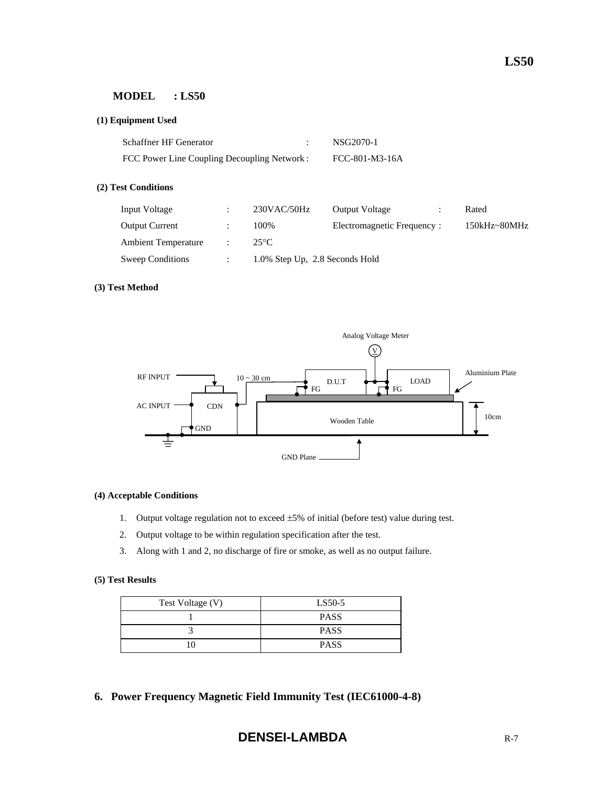#### **MODEL : LS50**

#### **(1) Equipment Used**

| Schaffner HF Generator                       | NSG2070-1      |
|----------------------------------------------|----------------|
| FCC Power Line Coupling Decoupling Network : | FCC-801-M3-16A |

#### **(2) Test Conditions**

| Input Voltage              | 230VAC/50Hz                    | <b>Output Voltage</b>       | Rated            |
|----------------------------|--------------------------------|-----------------------------|------------------|
| <b>Output Current</b>      | 100%                           | Electromagnetic Frequency : | $150kHz - 80MHz$ |
| <b>Ambient Temperature</b> | $25^{\circ}$ C                 |                             |                  |
| Sweep Conditions           | 1.0% Step Up, 2.8 Seconds Hold |                             |                  |

#### **(3) Test Method**



#### **(4) Acceptable Conditions**

- 1. Output voltage regulation not to exceed ±5% of initial (before test) value during test.
- 2. Output voltage to be within regulation specification after the test.
- 3. Along with 1 and 2, no discharge of fire or smoke, as well as no output failure.

#### **(5) Test Results**

| Test Voltage (V) | LS50-5      |  |
|------------------|-------------|--|
|                  | <b>PASS</b> |  |
|                  | <b>PASS</b> |  |
|                  | <b>PASS</b> |  |

**6. Power Frequency Magnetic Field Immunity Test (IEC61000-4-8)** 

# **DENSEI-LAMBDA** R-7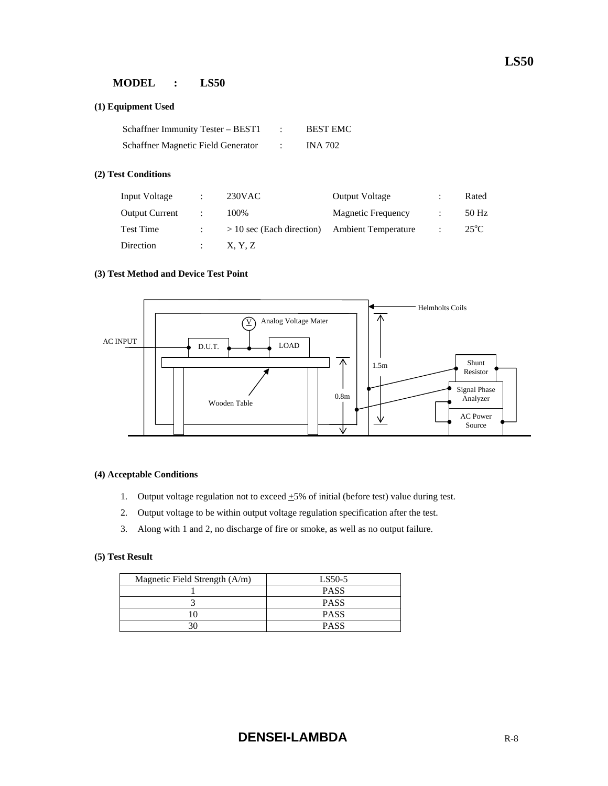## **MODEL : LS50**

#### **(1) Equipment Used**

| Schaffner Immunity Tester – BEST1  | <b>BEST EMC</b> |
|------------------------------------|-----------------|
| Schaffner Magnetic Field Generator | <b>INA 702</b>  |

#### **(2) Test Conditions**

| Input Voltage         | 230VAC                      | <b>Output Voltage</b>      | Rated         |
|-----------------------|-----------------------------|----------------------------|---------------|
| <b>Output Current</b> | 100%                        | <b>Magnetic Frequency</b>  | 50 Hz         |
| <b>Test Time</b>      | $> 10$ sec (Each direction) | <b>Ambient Temperature</b> | $25^{\circ}C$ |
| Direction             | X, Y, Z                     |                            |               |

#### **(3) Test Method and Device Test Point**



#### **(4) Acceptable Conditions**

- 1. Output voltage regulation not to exceed  $\pm$ 5% of initial (before test) value during test.
- 2. Output voltage to be within output voltage regulation specification after the test.
- 3. Along with 1 and 2, no discharge of fire or smoke, as well as no output failure.

#### **(5) Test Result**

| Magnetic Field Strength (A/m) | LS50-5      |  |
|-------------------------------|-------------|--|
|                               | <b>PASS</b> |  |
|                               | <b>PASS</b> |  |
|                               | <b>PASS</b> |  |
|                               | <b>PASS</b> |  |